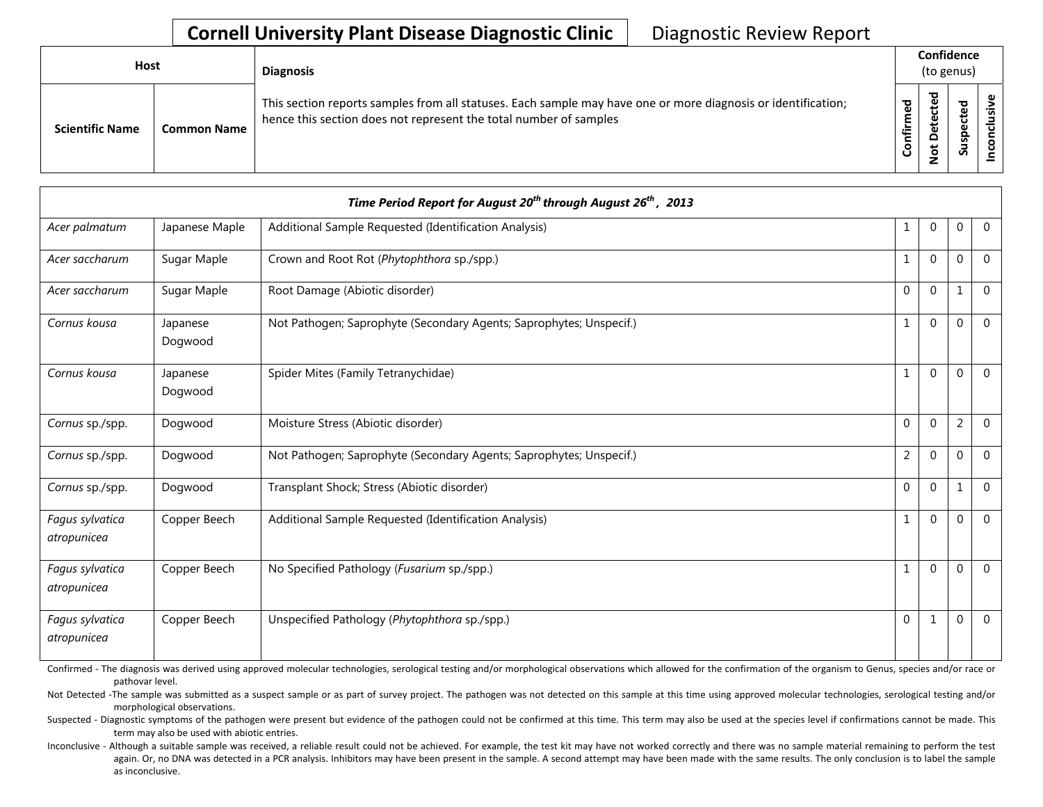| <b>Host</b>            |                    | <b>Diagnosis</b>                                                                                                                                                                   |                      | Confidence<br>(to genus)                    |                          |   |
|------------------------|--------------------|------------------------------------------------------------------------------------------------------------------------------------------------------------------------------------|----------------------|---------------------------------------------|--------------------------|---|
| <b>Scientific Name</b> | <b>Common Name</b> | This section reports samples from all statuses. Each sample may have one or more diagnosis or identification;<br>hence this section does not represent the total number of samples | შ<br>ზ<br>Ě<br>onfir | ᅙ<br>$\mathbf \omega$<br>پ<br>t<br><u>۽</u> | ᇃ<br>سد<br>ဒ္ဓ<br>∍<br>Ū | ω |

|                                | Time Period Report for August 20 <sup>th</sup> through August 26 <sup>th</sup> , 2013 |                                                                     |                |                |                |                |  |  |  |
|--------------------------------|---------------------------------------------------------------------------------------|---------------------------------------------------------------------|----------------|----------------|----------------|----------------|--|--|--|
| Acer palmatum                  | Japanese Maple                                                                        | Additional Sample Requested (Identification Analysis)               | $\mathbf{1}$   | $\mathbf{0}$   | $\mathbf 0$    | $\overline{0}$ |  |  |  |
| Acer saccharum                 | Sugar Maple                                                                           | Crown and Root Rot (Phytophthora sp./spp.)                          | $\mathbf{1}$   | $\Omega$       | $\Omega$       | $\Omega$       |  |  |  |
| Acer saccharum                 | Sugar Maple                                                                           | Root Damage (Abiotic disorder)                                      | $\mathbf 0$    | $\mathbf{0}$   | 1              | $\overline{0}$ |  |  |  |
| Cornus kousa                   | Japanese<br>Dogwood                                                                   | Not Pathogen; Saprophyte (Secondary Agents; Saprophytes; Unspecif.) | $1\,$          | $\Omega$       | $\Omega$       | $\mathbf{0}$   |  |  |  |
| Cornus kousa                   | Japanese<br>Dogwood                                                                   | Spider Mites (Family Tetranychidae)                                 | $\mathbf{1}$   | $\Omega$       | $\Omega$       | $\Omega$       |  |  |  |
| Cornus sp./spp.                | Dogwood                                                                               | Moisture Stress (Abiotic disorder)                                  | $\mathbf{0}$   | $\Omega$       | $\overline{2}$ | $\Omega$       |  |  |  |
| Cornus sp./spp.                | Dogwood                                                                               | Not Pathogen; Saprophyte (Secondary Agents; Saprophytes; Unspecif.) | $\overline{2}$ | $\Omega$       | $\Omega$       | $\Omega$       |  |  |  |
| Cornus sp./spp.                | Dogwood                                                                               | Transplant Shock; Stress (Abiotic disorder)                         | $\Omega$       | $\Omega$       | $\mathbf{1}$   | $\mathbf{0}$   |  |  |  |
| Fagus sylvatica<br>atropunicea | Copper Beech                                                                          | Additional Sample Requested (Identification Analysis)               | $\mathbf{1}$   | $\overline{0}$ | $\Omega$       | $\mathbf{0}$   |  |  |  |
| Fagus sylvatica<br>atropunicea | Copper Beech                                                                          | No Specified Pathology (Fusarium sp./spp.)                          | $\mathbf{1}$   | $\Omega$       | $\Omega$       | $\Omega$       |  |  |  |
| Fagus sylvatica<br>atropunicea | Copper Beech                                                                          | Unspecified Pathology (Phytophthora sp./spp.)                       | $\mathbf 0$    | 1              | $\Omega$       | $\Omega$       |  |  |  |

Confirmed - The diagnosis was derived using approved molecular technologies, serological testing and/or morphological observations which allowed for the confirmation of the organism to Genus, species and/or race or pathovar level.

Not Detected -The sample was submitted as a suspect sample or as part of survey project. The pathogen was not detected on this sample at this time using approved molecular technologies, serological testing and/or morphological observations.

Suspected - Diagnostic symptoms of the pathogen were present but evidence of the pathogen could not be confirmed at this time. This term may also be used at the species level if confirmations cannot be made. This term may also be used with abiotic entries.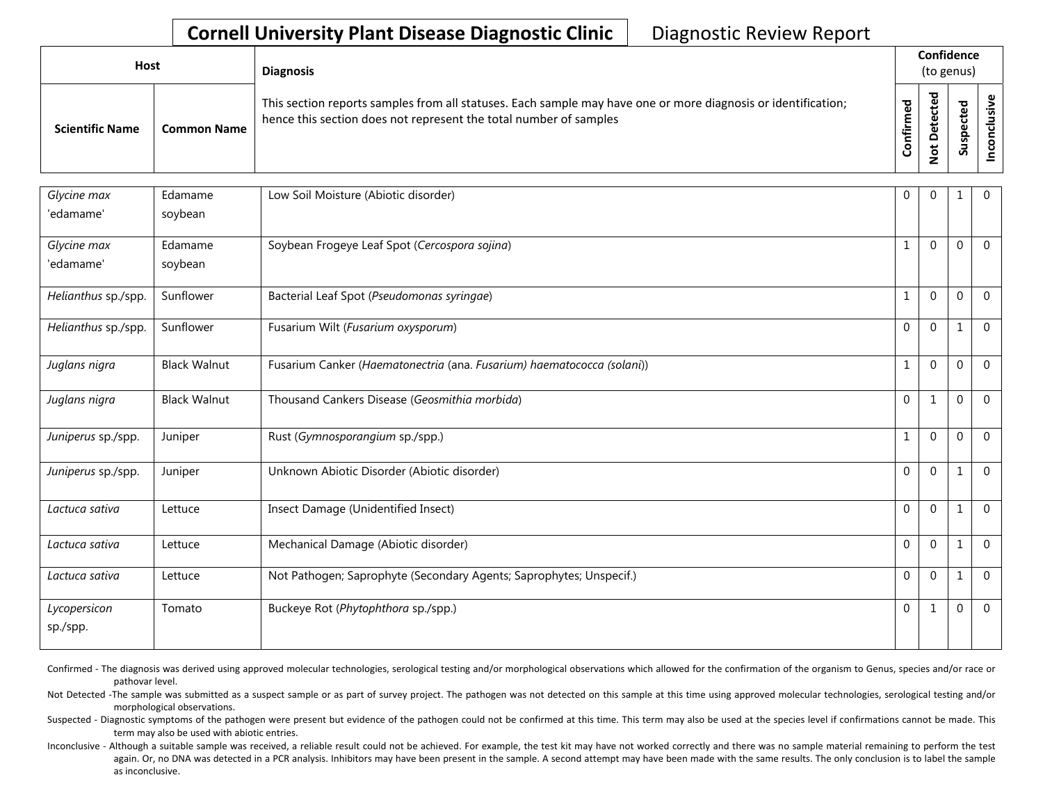| <b>Host</b>            |                    | <b>Diagnosis</b>                                                                                                                                                                   |                      | Confidence<br>(to genus) |           |  |  |  |
|------------------------|--------------------|------------------------------------------------------------------------------------------------------------------------------------------------------------------------------------|----------------------|--------------------------|-----------|--|--|--|
| <b>Scientific Name</b> | <b>Common Name</b> | This section reports samples from all statuses. Each sample may have one or more diagnosis or identification;<br>hence this section does not represent the total number of samples | ್ಠಾ<br><b>onfirm</b> | ठ<br>ى<br>o<br>0         | ਠ<br>Susp |  |  |  |

| Glycine max              | Edamame             | Low Soil Moisture (Abiotic disorder)                                   | $\Omega$     | $\Omega$     | 1            | $\overline{0}$ |
|--------------------------|---------------------|------------------------------------------------------------------------|--------------|--------------|--------------|----------------|
| 'edamame'                | soybean             |                                                                        |              |              |              |                |
| Glycine max              | Edamame             | Soybean Frogeye Leaf Spot (Cercospora sojina)                          | $\mathbf{1}$ | $\mathbf 0$  | $\mathbf 0$  | $\mathbf 0$    |
| 'edamame'                | soybean             |                                                                        |              |              |              |                |
| Helianthus sp./spp.      | Sunflower           | Bacterial Leaf Spot (Pseudomonas syringae)                             | $\mathbf{1}$ | $\Omega$     | $\mathbf 0$  | $\mathbf{0}$   |
| Helianthus sp./spp.      | Sunflower           | Fusarium Wilt (Fusarium oxysporum)                                     | $\Omega$     | $\Omega$     | $\mathbf{1}$ | $\mathbf{0}$   |
| Juglans nigra            | <b>Black Walnut</b> | Fusarium Canker (Haematonectria (ana. Fusarium) haematococca (solani)) | $\mathbf{1}$ | $\Omega$     | $\Omega$     | $\mathbf{0}$   |
| Juglans nigra            | <b>Black Walnut</b> | Thousand Cankers Disease (Geosmithia morbida)                          | $\Omega$     | $\mathbf{1}$ | $\mathbf{0}$ | $\Omega$       |
| Juniperus sp./spp.       | Juniper             | Rust (Gymnosporangium sp./spp.)                                        | $\mathbf{1}$ | $\Omega$     | $\mathbf{0}$ | $\Omega$       |
| Juniperus sp./spp.       | Juniper             | Unknown Abiotic Disorder (Abiotic disorder)                            | $\Omega$     | $\Omega$     | 1            | $\Omega$       |
| Lactuca sativa           | Lettuce             | Insect Damage (Unidentified Insect)                                    | $\Omega$     | $\Omega$     | $\mathbf{1}$ | $\Omega$       |
| Lactuca sativa           | Lettuce             | Mechanical Damage (Abiotic disorder)                                   | $\Omega$     | $\Omega$     | 1            | $\Omega$       |
| Lactuca sativa           | Lettuce             | Not Pathogen; Saprophyte (Secondary Agents; Saprophytes; Unspecif.)    | $\mathbf{0}$ | $\Omega$     | $\mathbf{1}$ | $\overline{0}$ |
| Lycopersicon<br>sp./spp. | Tomato              | Buckeye Rot (Phytophthora sp./spp.)                                    | $\Omega$     | $\mathbf{1}$ | $\mathbf{0}$ | $\Omega$       |

Confirmed - The diagnosis was derived using approved molecular technologies, serological testing and/or morphological observations which allowed for the confirmation of the organism to Genus, species and/or race or pathovar level.

Not Detected -The sample was submitted as a suspect sample or as part of survey project. The pathogen was not detected on this sample at this time using approved molecular technologies, serological testing and/or morphological observations.

Suspected - Diagnostic symptoms of the pathogen were present but evidence of the pathogen could not be confirmed at this time. This term may also be used at the species level if confirmations cannot be made. This term may also be used with abiotic entries.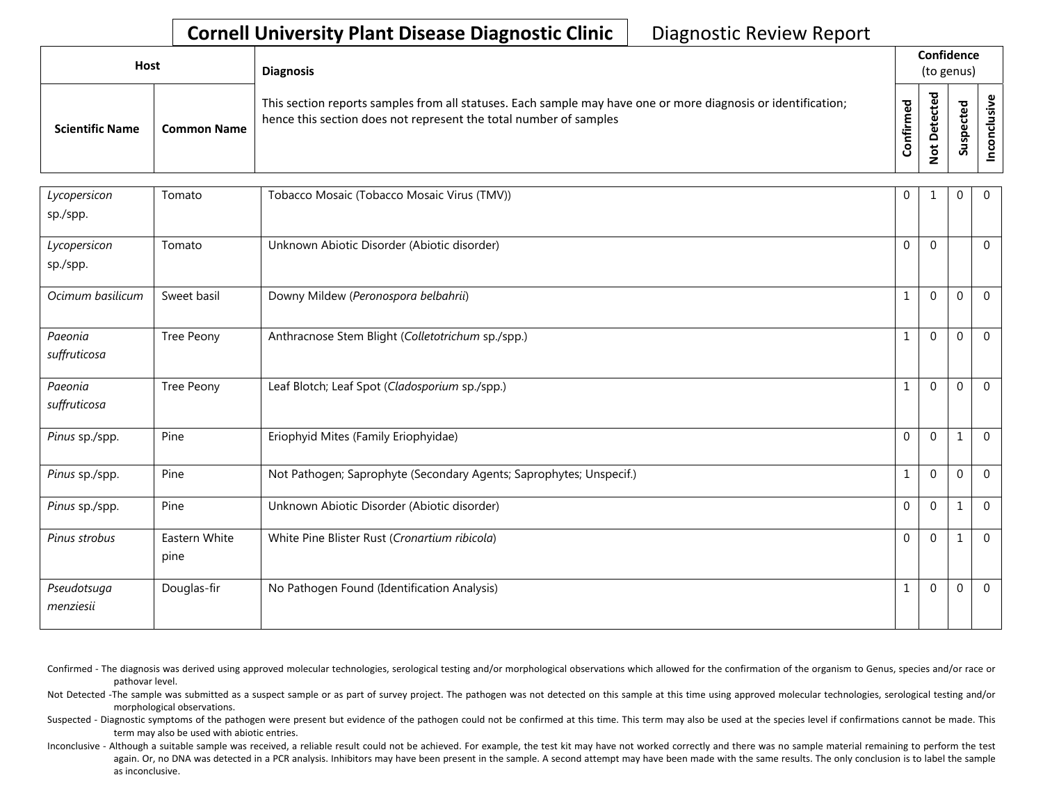| <b>Host</b>            |                    | <b>Diagnosis</b>                                                                                                                                                                   |                   | Confidence<br>(to genus) |             |  |
|------------------------|--------------------|------------------------------------------------------------------------------------------------------------------------------------------------------------------------------------|-------------------|--------------------------|-------------|--|
| <b>Scientific Name</b> | <b>Common Name</b> | This section reports samples from all statuses. Each sample may have one or more diagnosis or identification;<br>hence this section does not represent the total number of samples | ᅙ<br>Φ<br>ionfirm | ъ<br><u>ੂ</u>            | ௨<br>-<br>S |  |

| Lycopersicon<br>sp./spp. | Tomato                | Tobacco Mosaic (Tobacco Mosaic Virus (TMV))                         | 0            | $\mathbf{1}$ | 0        | $\overline{0}$ |
|--------------------------|-----------------------|---------------------------------------------------------------------|--------------|--------------|----------|----------------|
| Lycopersicon<br>sp./spp. | Tomato                | Unknown Abiotic Disorder (Abiotic disorder)                         | $\Omega$     | $\Omega$     |          | $\overline{0}$ |
| Ocimum basilicum         | Sweet basil           | Downy Mildew (Peronospora belbahrii)                                | $\mathbf{1}$ | $\Omega$     | O        | $\mathbf 0$    |
| Paeonia<br>suffruticosa  | Tree Peony            | Anthracnose Stem Blight (Colletotrichum sp./spp.)                   | $\mathbf{1}$ | $\Omega$     | $\Omega$ | $\mathbf 0$    |
| Paeonia<br>suffruticosa  | Tree Peony            | Leaf Blotch; Leaf Spot (Cladosporium sp./spp.)                      | $\mathbf{1}$ | $\Omega$     | $\Omega$ | $\Omega$       |
| Pinus sp./spp.           | Pine                  | Eriophyid Mites (Family Eriophyidae)                                | $\Omega$     | $\mathbf{0}$ | 1        | $\Omega$       |
| Pinus sp./spp.           | Pine                  | Not Pathogen; Saprophyte (Secondary Agents; Saprophytes; Unspecif.) | $1\,$        | $\Omega$     | $\Omega$ | $\mathbf 0$    |
| Pinus sp./spp.           | Pine                  | Unknown Abiotic Disorder (Abiotic disorder)                         | $\Omega$     | $\Omega$     |          | $\Omega$       |
| Pinus strobus            | Eastern White<br>pine | White Pine Blister Rust (Cronartium ribicola)                       | $\Omega$     | $\Omega$     |          | $\Omega$       |
| Pseudotsuga<br>menziesii | Douglas-fir           | No Pathogen Found (Identification Analysis)                         | $\mathbf{1}$ | $\Omega$     | $\Omega$ | $\Omega$       |

Confirmed - The diagnosis was derived using approved molecular technologies, serological testing and/or morphological observations which allowed for the confirmation of the organism to Genus, species and/or race or pathovar level.

Not Detected -The sample was submitted as a suspect sample or as part of survey project. The pathogen was not detected on this sample at this time using approved molecular technologies, serological testing and/or morphological observations.

Suspected - Diagnostic symptoms of the pathogen were present but evidence of the pathogen could not be confirmed at this time. This term may also be used at the species level if confirmations cannot be made. This term may also be used with abiotic entries.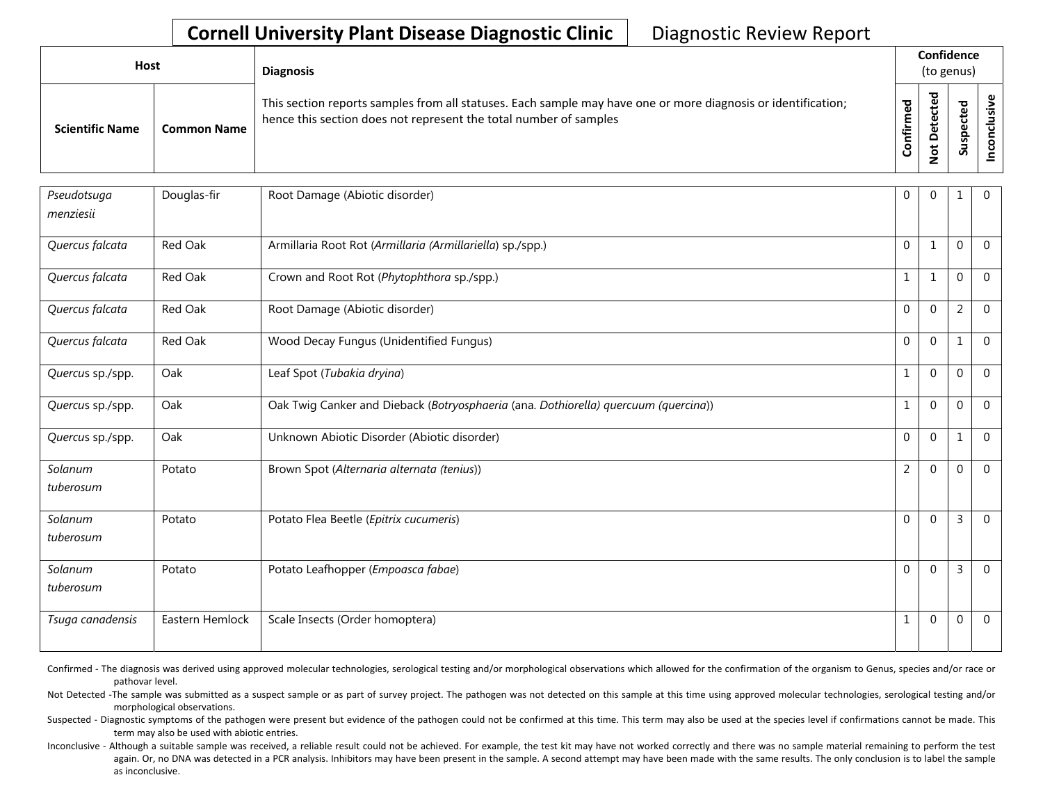| <b>Host</b>            |                    | <b>Diagnosis</b>                                                                                                                                                                   |          | Confidence<br>(to genus) |                                 |             |
|------------------------|--------------------|------------------------------------------------------------------------------------------------------------------------------------------------------------------------------------|----------|--------------------------|---------------------------------|-------------|
| <b>Scientific Name</b> | <b>Common Name</b> | This section reports samples from all statuses. Each sample may have one or more diagnosis or identification;<br>hence this section does not represent the total number of samples | ᇴ<br>tir | ᇃ<br>ى<br>ş              | ▿<br>Φ<br>Φ<br>௨<br>w<br>ے<br>S | ທ<br>ပ<br>ပ |

| Pseudotsuga<br>menziesii | Douglas-fir     | Root Damage (Abiotic disorder)                                                      | $\mathbf 0$  | $\overline{0}$ | 1              | $\overline{0}$ |
|--------------------------|-----------------|-------------------------------------------------------------------------------------|--------------|----------------|----------------|----------------|
| Quercus falcata          | Red Oak         | Armillaria Root Rot (Armillaria (Armillariella) sp./spp.)                           | $\mathbf 0$  | $\mathbf{1}$   | $\mathbf 0$    | $\mathbf 0$    |
| Quercus falcata          | Red Oak         | Crown and Root Rot (Phytophthora sp./spp.)                                          | $\mathbf{1}$ | $\mathbf{1}$   | $\mathbf{0}$   | $\mathbf 0$    |
| Quercus falcata          | Red Oak         | Root Damage (Abiotic disorder)                                                      | $\Omega$     | $\mathbf 0$    | $\overline{2}$ | $\mathbf 0$    |
| Quercus falcata          | Red Oak         | Wood Decay Fungus (Unidentified Fungus)                                             | $\Omega$     | $\Omega$       | $\mathbf{1}$   | $\Omega$       |
| Quercus sp./spp.         | Oak             | Leaf Spot (Tubakia dryina)                                                          | $\mathbf{1}$ | $\overline{0}$ | $\mathbf{0}$   | $\Omega$       |
| Quercus sp./spp.         | Oak             | Oak Twig Canker and Dieback (Botryosphaeria (ana. Dothiorella) quercuum (quercina)) | 1            | $\mathbf 0$    | $\mathbf 0$    | $\mathbf{0}$   |
| Quercus sp./spp.         | Oak             | Unknown Abiotic Disorder (Abiotic disorder)                                         | $\mathbf 0$  | $\overline{0}$ | $\mathbf{1}$   | $\Omega$       |
| Solanum<br>tuberosum     | Potato          | Brown Spot (Alternaria alternata (tenius))                                          | 2            | $\mathbf 0$    | $\mathbf 0$    | $\Omega$       |
| Solanum<br>tuberosum     | Potato          | Potato Flea Beetle (Epitrix cucumeris)                                              | $\Omega$     | $\Omega$       | $\mathsf{3}$   | $\Omega$       |
| Solanum<br>tuberosum     | Potato          | Potato Leafhopper (Empoasca fabae)                                                  | $\Omega$     | $\mathbf 0$    | $\overline{3}$ | $\mathbf 0$    |
| Tsuga canadensis         | Eastern Hemlock | Scale Insects (Order homoptera)                                                     | 1            | $\overline{0}$ | $\mathbf 0$    | $\mathbf 0$    |

Confirmed - The diagnosis was derived using approved molecular technologies, serological testing and/or morphological observations which allowed for the confirmation of the organism to Genus, species and/or race or pathovar level.

Not Detected -The sample was submitted as a suspect sample or as part of survey project. The pathogen was not detected on this sample at this time using approved molecular technologies, serological testing and/or morphological observations.

Suspected - Diagnostic symptoms of the pathogen were present but evidence of the pathogen could not be confirmed at this time. This term may also be used at the species level if confirmations cannot be made. This term may also be used with abiotic entries.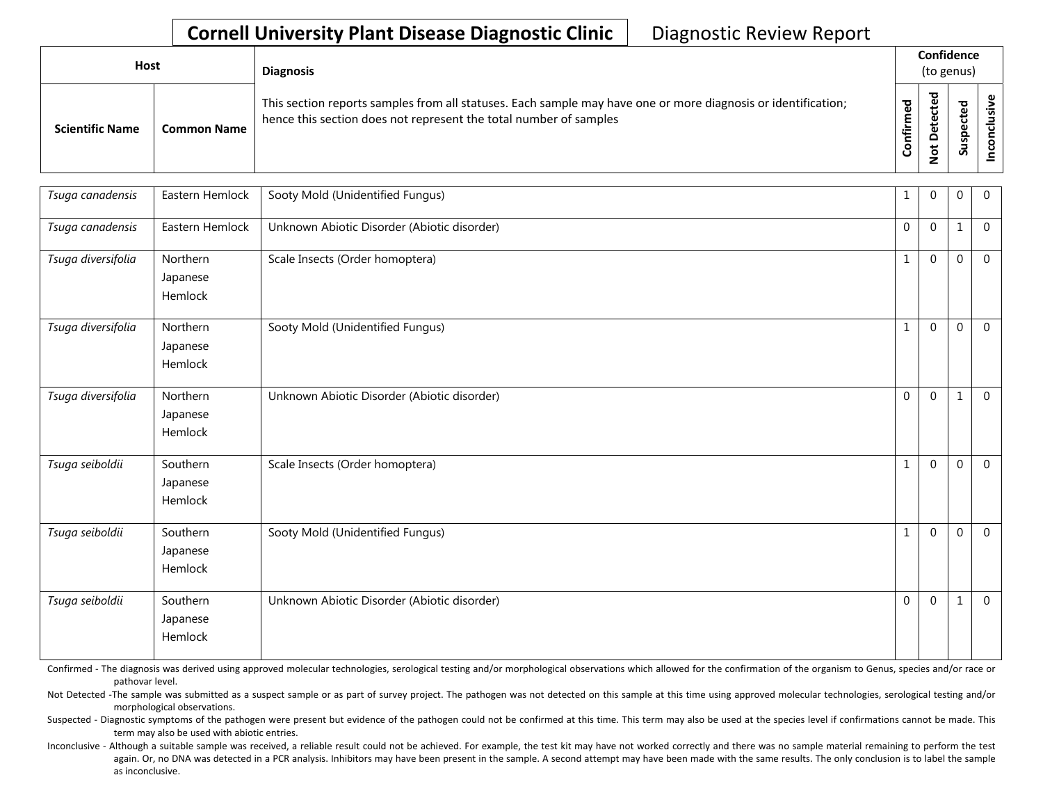| <b>Host</b>            |                    | <b>Diagnosis</b>                                                                                                                                                                   |               | Confidence<br>(to genus)        |                          |                |
|------------------------|--------------------|------------------------------------------------------------------------------------------------------------------------------------------------------------------------------------|---------------|---------------------------------|--------------------------|----------------|
| <b>Scientific Name</b> | <b>Common Name</b> | This section reports samples from all statuses. Each sample may have one or more diagnosis or identification;<br>hence this section does not represent the total number of samples | ਠ<br>tir<br>U | ᇃ<br>ω<br>۵<br>ى<br>$\tilde{S}$ | ▿<br>உ<br>ω<br>9s<br>్యే | <u>יש</u><br>० |

| Tsuga canadensis   | Eastern Hemlock                 | Sooty Mold (Unidentified Fungus)            | $\mathbf{1}$ | $\Omega$ | $\Omega$       | $\mathbf 0$    |
|--------------------|---------------------------------|---------------------------------------------|--------------|----------|----------------|----------------|
| Tsuga canadensis   | Eastern Hemlock                 | Unknown Abiotic Disorder (Abiotic disorder) | $\mathbf 0$  | $\Omega$ | 1              | $\overline{0}$ |
| Tsuga diversifolia | Northern<br>Japanese<br>Hemlock | Scale Insects (Order homoptera)             | $\mathbf{1}$ | $\Omega$ | $\Omega$       | $\overline{0}$ |
| Tsuga diversifolia | Northern<br>Japanese<br>Hemlock | Sooty Mold (Unidentified Fungus)            | $\mathbf{1}$ | $\Omega$ | $\Omega$       | $\overline{0}$ |
| Tsuga diversifolia | Northern<br>Japanese<br>Hemlock | Unknown Abiotic Disorder (Abiotic disorder) | $\Omega$     | $\Omega$ | 1              | $\Omega$       |
| Tsuga seiboldii    | Southern<br>Japanese<br>Hemlock | Scale Insects (Order homoptera)             | $\mathbf{1}$ | $\Omega$ | $\Omega$       | $\mathbf 0$    |
| Tsuga seiboldii    | Southern<br>Japanese<br>Hemlock | Sooty Mold (Unidentified Fungus)            | $\mathbf{1}$ | $\Omega$ | $\overline{0}$ | $\mathbf 0$    |
| Tsuga seiboldii    | Southern<br>Japanese<br>Hemlock | Unknown Abiotic Disorder (Abiotic disorder) | $\Omega$     | $\Omega$ | 1              | $\overline{0}$ |

Confirmed - The diagnosis was derived using approved molecular technologies, serological testing and/or morphological observations which allowed for the confirmation of the organism to Genus, species and/or race or pathovar level.

Not Detected -The sample was submitted as a suspect sample or as part of survey project. The pathogen was not detected on this sample at this time using approved molecular technologies, serological testing and/or morphological observations.

Suspected - Diagnostic symptoms of the pathogen were present but evidence of the pathogen could not be confirmed at this time. This term may also be used at the species level if confirmations cannot be made. This term may also be used with abiotic entries.